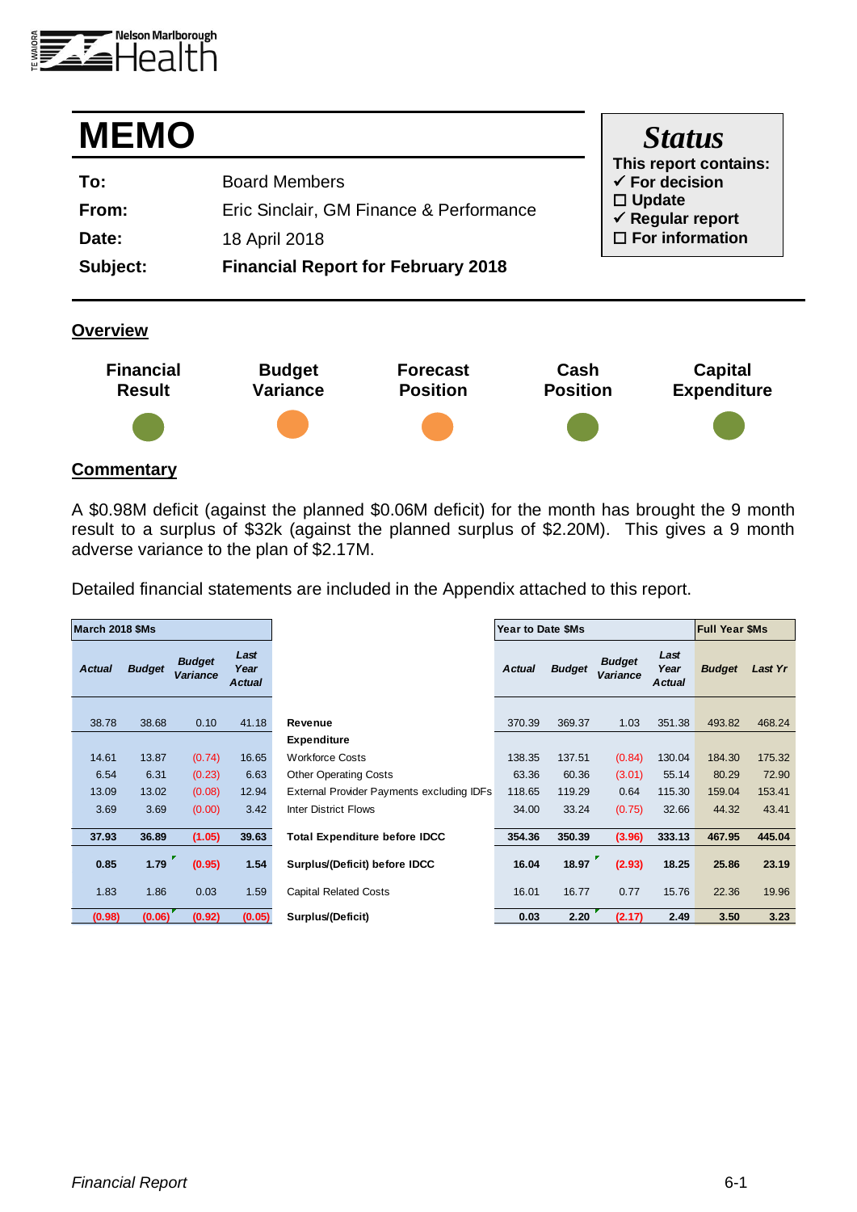

| <b>MEMO</b> |                                           | <b>Status</b>                                      |
|-------------|-------------------------------------------|----------------------------------------------------|
| To:         | <b>Board Members</b>                      | This report contains:<br>$\checkmark$ For decision |
| From:       | Eric Sinclair, GM Finance & Performance   | $\Box$ Update<br>$\checkmark$ Regular report       |
| Date:       | 18 April 2018                             | $\Box$ For information                             |
| Subject:    | <b>Financial Report for February 2018</b> |                                                    |

### **Overview**



### **Commentary**

A \$0.98M deficit (against the planned \$0.06M deficit) for the month has brought the 9 month result to a surplus of \$32k (against the planned surplus of \$2.20M). This gives a 9 month adverse variance to the plan of \$2.17M.

Detailed financial statements are included in the Appendix attached to this report.

| March 2018 \$Ms |               |                                  |                               |                                           | Year to Date \$Ms |               |                                  |                               | <b>Full Year \$Ms</b> |         |
|-----------------|---------------|----------------------------------|-------------------------------|-------------------------------------------|-------------------|---------------|----------------------------------|-------------------------------|-----------------------|---------|
| <b>Actual</b>   | <b>Budget</b> | <b>Budget</b><br><b>Variance</b> | Last<br>Year<br><b>Actual</b> |                                           | <b>Actual</b>     | <b>Budget</b> | <b>Budget</b><br><b>Variance</b> | Last<br>Year<br><b>Actual</b> | <b>Budget</b>         | Last Yr |
| 38.78           | 38.68         | 0.10                             | 41.18                         | Revenue                                   | 370.39            | 369.37        | 1.03                             | 351.38                        | 493.82                | 468.24  |
|                 |               |                                  |                               | <b>Expenditure</b>                        |                   |               |                                  |                               |                       |         |
| 14.61           | 13.87         | (0.74)                           | 16.65                         | <b>Workforce Costs</b>                    | 138.35            | 137.51        | (0.84)                           | 130.04                        | 184.30                | 175.32  |
| 6.54            | 6.31          | (0.23)                           | 6.63                          | <b>Other Operating Costs</b>              | 63.36             | 60.36         | (3.01)                           | 55.14                         | 80.29                 | 72.90   |
| 13.09           | 13.02         | (0.08)                           | 12.94                         | External Provider Payments excluding IDFs | 118.65            | 119.29        | 0.64                             | 115.30                        | 159.04                | 153.41  |
| 3.69            | 3.69          | (0.00)                           | 3.42                          | <b>Inter District Flows</b>               | 34.00             | 33.24         | (0.75)                           | 32.66                         | 44.32                 | 43.41   |
| 37.93           | 36.89         | (1.05)                           | 39.63                         | <b>Total Expenditure before IDCC</b>      | 354.36            | 350.39        | (3.96)                           | 333.13                        | 467.95                | 445.04  |
| 0.85            | 1.79          | (0.95)                           | 1.54                          | Surplus/(Deficit) before IDCC             | 16.04             | 18.97         | (2.93)                           | 18.25                         | 25.86                 | 23.19   |
| 1.83            | 1.86          | 0.03                             | 1.59                          | <b>Capital Related Costs</b>              | 16.01             | 16.77         | 0.77                             | 15.76                         | 22.36                 | 19.96   |
| (0.98)          | (0.06)        | (0.92)                           | (0.05)                        | Surplus/(Deficit)                         | 0.03              | 2.20          | (2.17)                           | 2.49                          | 3.50                  | 3.23    |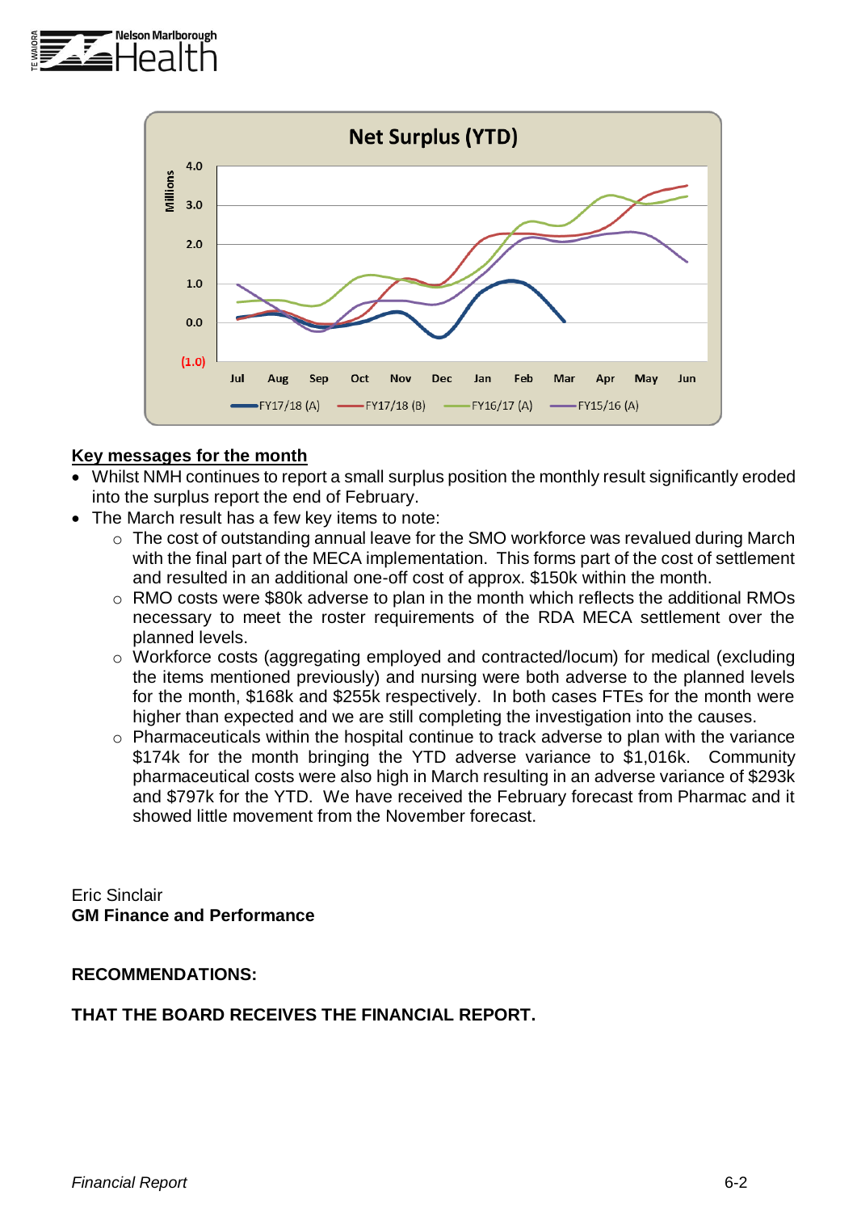



### **Key messages for the month**

- Whilst NMH continues to report a small surplus position the monthly result significantly eroded into the surplus report the end of February.
- The March result has a few key items to note:
	- o The cost of outstanding annual leave for the SMO workforce was revalued during March with the final part of the MECA implementation. This forms part of the cost of settlement and resulted in an additional one-off cost of approx. \$150k within the month.
	- o RMO costs were \$80k adverse to plan in the month which reflects the additional RMOs necessary to meet the roster requirements of the RDA MECA settlement over the planned levels.
	- o Workforce costs (aggregating employed and contracted/locum) for medical (excluding the items mentioned previously) and nursing were both adverse to the planned levels for the month, \$168k and \$255k respectively. In both cases FTEs for the month were higher than expected and we are still completing the investigation into the causes.
	- o Pharmaceuticals within the hospital continue to track adverse to plan with the variance \$174k for the month bringing the YTD adverse variance to \$1,016k. Community pharmaceutical costs were also high in March resulting in an adverse variance of \$293k and \$797k for the YTD. We have received the February forecast from Pharmac and it showed little movement from the November forecast.

Eric Sinclair **GM Finance and Performance**

#### **RECOMMENDATIONS:**

### **THAT THE BOARD RECEIVES THE FINANCIAL REPORT.**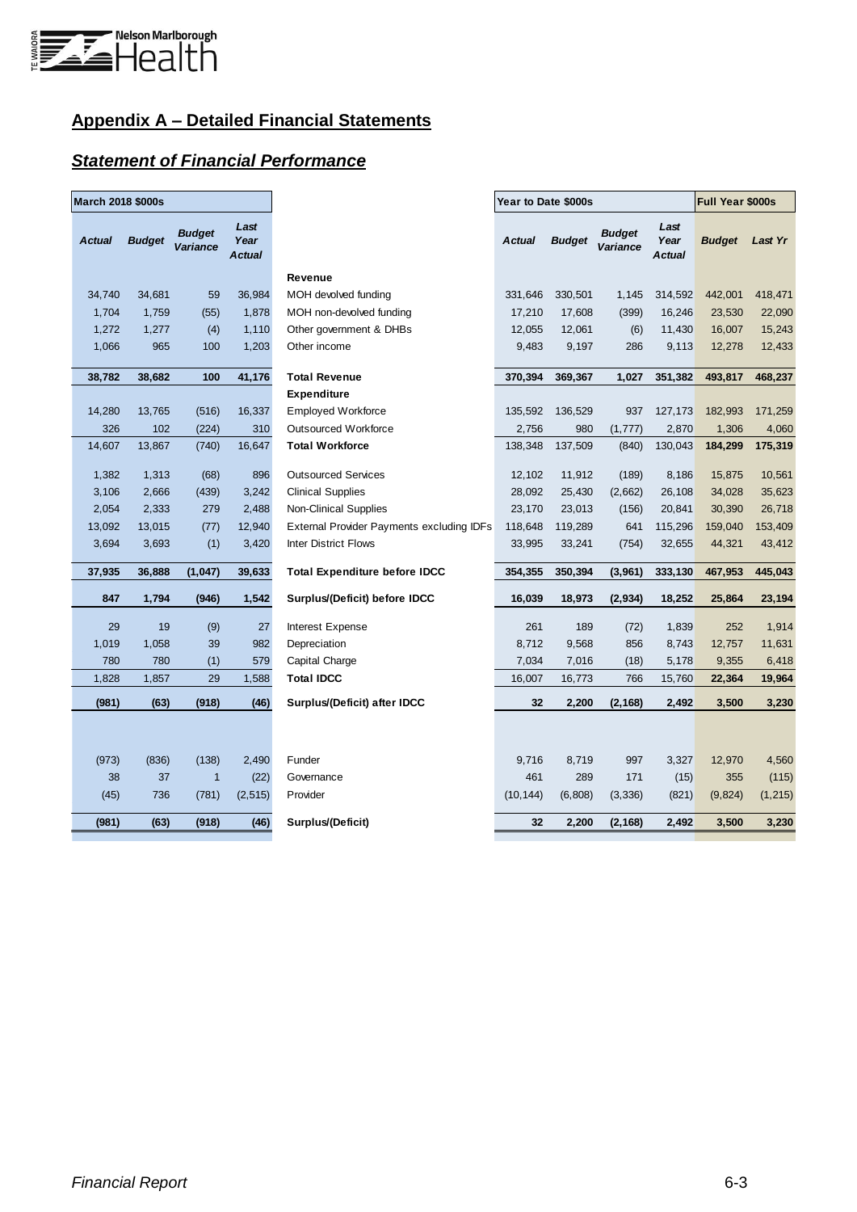

# **Appendix A – Detailed Financial Statements**

### *Statement of Financial Performance*

| March 2018 \$000s |               |                           |                        |                                           | Year to Date \$000s |               |                           | Full Year \$000s              |               |          |
|-------------------|---------------|---------------------------|------------------------|-------------------------------------------|---------------------|---------------|---------------------------|-------------------------------|---------------|----------|
| <b>Actual</b>     | <b>Budget</b> | <b>Budget</b><br>Variance | Last<br>Year<br>Actual |                                           | <b>Actual</b>       | <b>Budget</b> | <b>Budget</b><br>Variance | Last<br>Year<br><b>Actual</b> | <b>Budget</b> | Last Yr  |
|                   |               |                           |                        | Revenue                                   |                     |               |                           |                               |               |          |
| 34,740            | 34,681        | 59                        | 36,984                 | MOH devolved funding                      | 331,646             | 330,501       | 1,145                     | 314,592                       | 442,001       | 418,471  |
| 1,704             | 1,759         | (55)                      | 1,878                  | MOH non-devolved funding                  | 17,210              | 17,608        | (399)                     | 16,246                        | 23,530        | 22,090   |
| 1,272             | 1,277         | (4)                       | 1,110                  | Other government & DHBs                   | 12,055              | 12,061        | (6)                       | 11,430                        | 16,007        | 15,243   |
| 1,066             | 965           | 100                       | 1,203                  | Other income                              | 9,483               | 9,197         | 286                       | 9,113                         | 12,278        | 12,433   |
| 38,782            | 38,682        | 100                       | 41,176                 | <b>Total Revenue</b>                      | 370,394             | 369,367       | 1,027                     | 351,382                       | 493,817       | 468,237  |
|                   |               |                           |                        | <b>Expenditure</b>                        |                     |               |                           |                               |               |          |
| 14,280            | 13,765        | (516)                     | 16,337                 | <b>Employed Workforce</b>                 | 135,592             | 136,529       | 937                       | 127,173                       | 182,993       | 171,259  |
| 326               | 102           | (224)                     | 310                    | <b>Outsourced Workforce</b>               | 2,756               | 980           | (1, 777)                  | 2,870                         | 1,306         | 4,060    |
| 14,607            | 13,867        | (740)                     | 16,647                 | <b>Total Workforce</b>                    | 138,348             | 137,509       | (840)                     | 130,043                       | 184,299       | 175,319  |
| 1,382             | 1,313         | (68)                      | 896                    | <b>Outsourced Services</b>                | 12,102              | 11,912        | (189)                     | 8,186                         | 15,875        | 10,561   |
| 3,106             | 2,666         | (439)                     | 3,242                  | <b>Clinical Supplies</b>                  | 28,092              | 25,430        | (2,662)                   | 26,108                        | 34,028        | 35,623   |
| 2,054             | 2,333         | 279                       | 2,488                  | <b>Non-Clinical Supplies</b>              | 23,170              | 23,013        | (156)                     | 20,841                        | 30,390        | 26,718   |
| 13,092            | 13,015        | (77)                      | 12,940                 | External Provider Payments excluding IDFs | 118,648             | 119,289       | 641                       | 115,296                       | 159,040       | 153,409  |
| 3,694             | 3,693         | (1)                       | 3,420                  | <b>Inter District Flows</b>               | 33,995              | 33,241        | (754)                     | 32,655                        | 44,321        | 43,412   |
| 37,935            | 36,888        | (1,047)                   | 39,633                 | <b>Total Expenditure before IDCC</b>      | 354,355             | 350,394       | (3,961)                   | 333,130                       | 467,953       | 445,043  |
| 847               | 1,794         | (946)                     | 1,542                  | Surplus/(Deficit) before IDCC             | 16,039              | 18,973        | (2,934)                   | 18,252                        | 25,864        | 23,194   |
| 29                | 19            | (9)                       | 27                     | Interest Expense                          | 261                 | 189           | (72)                      | 1,839                         | 252           | 1,914    |
| 1,019             | 1,058         | 39                        | 982                    | Depreciation                              | 8,712               | 9,568         | 856                       | 8,743                         | 12,757        | 11,631   |
| 780               | 780           | (1)                       | 579                    | Capital Charge                            | 7,034               | 7,016         | (18)                      | 5,178                         | 9,355         | 6,418    |
| 1,828             | 1,857         | 29                        | 1,588                  | <b>Total IDCC</b>                         | 16,007              | 16,773        | 766                       | 15,760                        | 22,364        | 19,964   |
| (981)             | (63)          | (918)                     | (46)                   | Surplus/(Deficit) after IDCC              | 32                  | 2,200         | (2, 168)                  | 2,492                         | 3,500         | 3,230    |
|                   |               |                           |                        |                                           |                     |               |                           |                               |               |          |
| (973)             | (836)         | (138)                     | 2,490                  | Funder                                    | 9,716               | 8,719         | 997                       | 3,327                         | 12,970        | 4,560    |
| 38                | 37            | $\mathbf{1}$              | (22)                   | Governance                                | 461                 | 289           | 171                       | (15)                          | 355           | (115)    |
| (45)              | 736           | (781)                     | (2, 515)               | Provider                                  | (10, 144)           | (6,808)       | (3,336)                   | (821)                         | (9,824)       | (1, 215) |
| (981)             | (63)          | (918)                     | (46)                   | Surplus/(Deficit)                         | 32                  | 2,200         | (2, 168)                  | 2,492                         | 3,500         | 3,230    |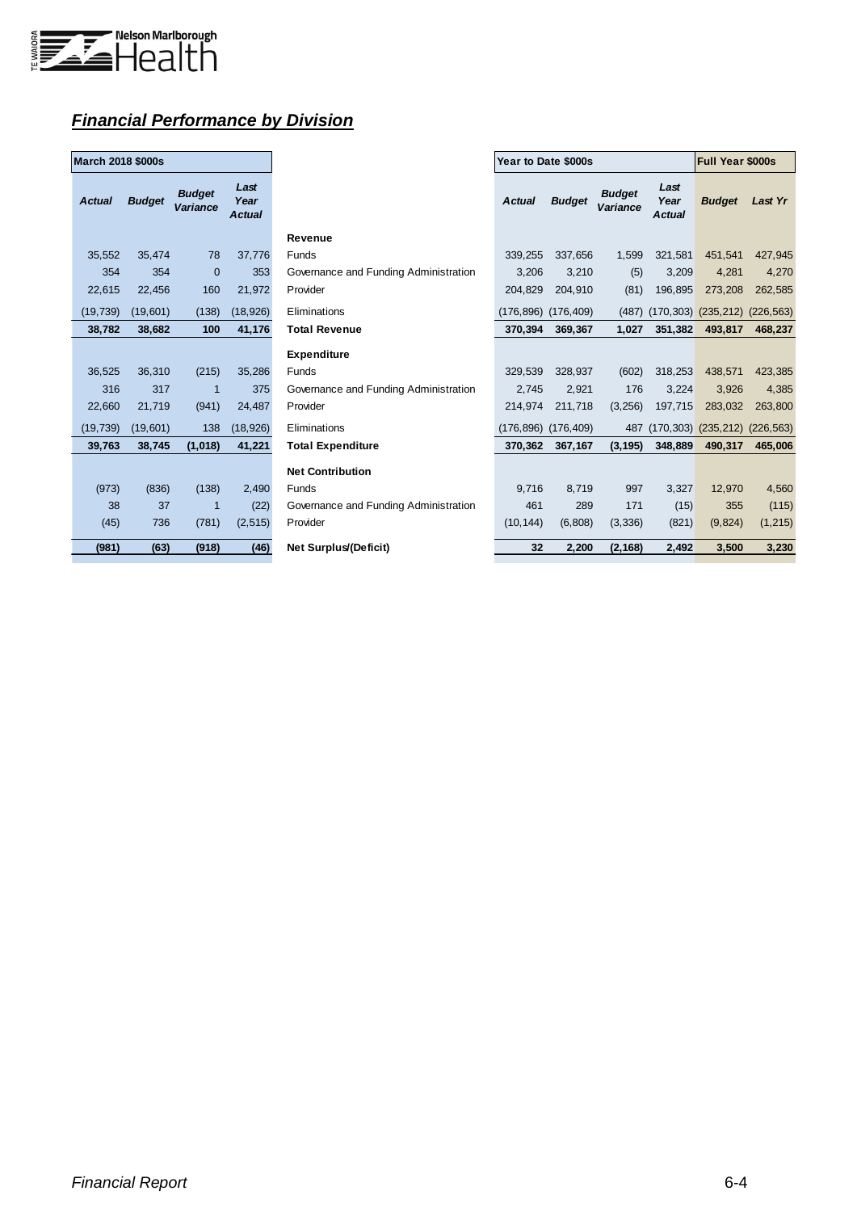

## *Financial Performance by Division*

| <b>March 2018 \$000s</b> |               |                           |                        |  |  |  |  |  |  |
|--------------------------|---------------|---------------------------|------------------------|--|--|--|--|--|--|
| <b>Actual</b>            | <b>Budget</b> | <b>Budget</b><br>Variance | Last<br>Year<br>Actual |  |  |  |  |  |  |
| 35,552                   | 35,474        | 78                        | 37,776                 |  |  |  |  |  |  |
| 354                      | 354           | $\Omega$                  | 353                    |  |  |  |  |  |  |
| 22,615                   | 22.456        | 160                       | 21,972                 |  |  |  |  |  |  |
| (19, 739)                | (19,601)      | (138)                     | (18, 926)              |  |  |  |  |  |  |
| 38,782                   | 38,682        | 100                       | 41,176                 |  |  |  |  |  |  |
|                          |               |                           |                        |  |  |  |  |  |  |
| 36,525                   | 36,310        | (215)                     | 35,286                 |  |  |  |  |  |  |
| 316                      | 317           | 1                         | 375                    |  |  |  |  |  |  |
| 22,660                   | 21,719        | (941)                     | 24,487                 |  |  |  |  |  |  |
| (19, 739)                | (19,601)      | 138                       | (18, 926)              |  |  |  |  |  |  |
| 39,763                   | 38,745        | (1,018)                   | 41,221                 |  |  |  |  |  |  |
|                          |               |                           |                        |  |  |  |  |  |  |
| (973)                    | (836)         | (138)                     | 2,490                  |  |  |  |  |  |  |
| 38                       | 37            | 1                         | (22)                   |  |  |  |  |  |  |
| (45)                     | 736           | (781)                     | (2, 515)               |  |  |  |  |  |  |
| (981)                    | (63)          | (918)                     | (46)                   |  |  |  |  |  |  |

| March 2018 \$000s |               |                                  |                               |                                       | Year to Date \$000s |               | <b>Full Year \$000s</b>          |                               |                           |                |
|-------------------|---------------|----------------------------------|-------------------------------|---------------------------------------|---------------------|---------------|----------------------------------|-------------------------------|---------------------------|----------------|
| <b>Actual</b>     | <b>Budget</b> | <b>Budget</b><br><b>Variance</b> | Last<br>Year<br><b>Actual</b> |                                       | <b>Actual</b>       | <b>Budget</b> | <b>Budget</b><br><b>Variance</b> | Last<br>Year<br><b>Actual</b> | <b>Budget</b>             | <b>Last Yr</b> |
|                   |               |                                  |                               | Revenue                               |                     |               |                                  |                               |                           |                |
| 35,552            | 35,474        | 78                               | 37,776                        | Funds                                 | 339,255             | 337,656       | 1,599                            | 321,581                       | 451,541                   | 427,945        |
| 354               | 354           | $\overline{0}$                   | 353                           | Governance and Funding Administration | 3,206               | 3,210         | (5)                              | 3,209                         | 4,281                     | 4,270          |
| 22,615            | 22,456        | 160                              | 21,972                        | Provider                              | 204.829             | 204,910       | (81)                             | 196.895                       | 273,208                   | 262,585        |
| (19, 739)         | (19,601)      | (138)                            | (18, 926)                     | Eliminations                          | (176,896) (176,409) |               | (487)                            |                               | $(170,303)$ $(235,212)$   | (226, 563)     |
| 38,782            | 38,682        | 100                              | 41,176                        | <b>Total Revenue</b>                  | 370.394             | 369,367       | 1,027                            | 351,382                       | 493,817                   | 468,237        |
|                   |               |                                  |                               | <b>Expenditure</b>                    |                     |               |                                  |                               |                           |                |
| 36,525            | 36,310        | (215)                            | 35,286                        | Funds                                 | 329,539             | 328,937       | (602)                            | 318,253                       | 438,571                   | 423,385        |
| 316               | 317           | $\overline{1}$                   | 375                           | Governance and Funding Administration | 2,745               | 2,921         | 176                              | 3,224                         | 3,926                     | 4,385          |
| 22,660            | 21,719        | (941)                            | 24,487                        | Provider                              | 214,974             | 211,718       | (3,256)                          | 197,715                       | 283,032                   | 263,800        |
| (19, 739)         | (19,601)      | 138                              | (18, 926)                     | Eliminations                          | (176,896) (176,409) |               | 487                              |                               | $(170, 303)$ $(235, 212)$ | (226, 563)     |
| 39,763            | 38.745        | (1,018)                          | 41,221                        | <b>Total Expenditure</b>              | 370.362             | 367,167       | (3, 195)                         | 348,889                       | 490,317                   | 465,006        |
|                   |               |                                  |                               | <b>Net Contribution</b>               |                     |               |                                  |                               |                           |                |
| (973)             | (836)         | (138)                            | 2,490                         | Funds                                 | 9,716               | 8.719         | 997                              | 3,327                         | 12,970                    | 4,560          |
| 38                | 37            | $\overline{1}$                   | (22)                          | Governance and Funding Administration | 461                 | 289           | 171                              | (15)                          | 355                       | (115)          |
| (45)              | 736           | (781)                            | (2, 515)                      | Provider                              | (10, 144)           | (6,808)       | (3,336)                          | (821)                         | (9,824)                   | (1, 215)       |
| (981)             | (63)          | (918)                            | (46)                          | <b>Net Surplus/(Deficit)</b>          | 32                  | 2,200         | (2, 168)                         | 2,492                         | 3,500                     | 3,230          |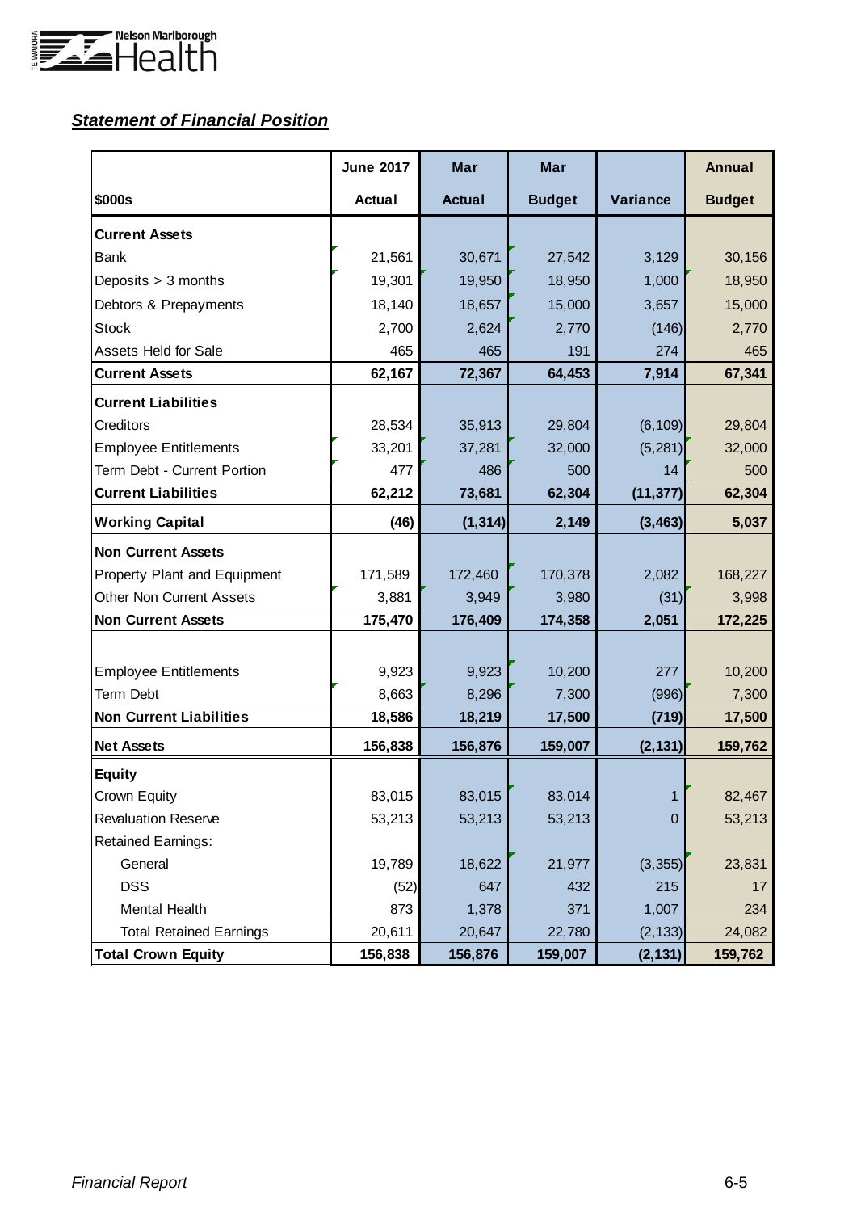

# *Statement of Financial Position*

|                                 | <b>June 2017</b> | Mar           | Mar           |           | <b>Annual</b> |
|---------------------------------|------------------|---------------|---------------|-----------|---------------|
| \$000s                          | <b>Actual</b>    | <b>Actual</b> | <b>Budget</b> | Variance  | <b>Budget</b> |
| <b>Current Assets</b>           |                  |               |               |           |               |
| Bank                            | 21,561           | 30,671        | 27,542        | 3,129     | 30,156        |
| Deposits > 3 months             | 19,301           | 19,950        | 18,950        | 1,000     | 18,950        |
| Debtors & Prepayments           | 18,140           | 18,657        | 15,000        | 3,657     | 15,000        |
| <b>Stock</b>                    | 2,700            | 2,624         | 2,770         | (146)     | 2,770         |
| <b>Assets Held for Sale</b>     | 465              | 465           | 191           | 274       | 465           |
| <b>Current Assets</b>           | 62,167           | 72,367        | 64,453        | 7,914     | 67,341        |
| <b>Current Liabilities</b>      |                  |               |               |           |               |
| <b>Creditors</b>                | 28,534           | 35,913        | 29,804        | (6, 109)  | 29,804        |
| <b>Employee Entitlements</b>    | 33,201           | 37,281        | 32,000        | (5, 281)  | 32,000        |
| Term Debt - Current Portion     | 477              | 486           | 500           | 14        | 500           |
| <b>Current Liabilities</b>      | 62,212           | 73,681        | 62,304        | (11, 377) | 62,304        |
| <b>Working Capital</b>          | (46)             | (1, 314)      | 2,149         | (3, 463)  | 5,037         |
| <b>Non Current Assets</b>       |                  |               |               |           |               |
| Property Plant and Equipment    | 171,589          | 172,460       | 170,378       | 2,082     | 168,227       |
| <b>Other Non Current Assets</b> | 3,881            | 3,949         | 3,980         | (31)      | 3,998         |
| <b>Non Current Assets</b>       | 175,470          | 176,409       | 174,358       | 2,051     | 172,225       |
|                                 |                  |               |               |           |               |
| <b>Employee Entitlements</b>    | 9,923            | 9,923         | 10,200        | 277       | 10,200        |
| <b>Term Debt</b>                | 8,663            | 8,296         | 7,300         | (996)     | 7,300         |
| <b>Non Current Liabilities</b>  | 18,586           | 18,219        | 17,500        | (719)     | 17,500        |
| <b>Net Assets</b>               | 156,838          | 156,876       | 159,007       | (2, 131)  | 159,762       |
| <b>Equity</b>                   |                  |               |               |           |               |
| Crown Equity                    | 83,015           | 83,015        | 83,014        | 1         | 82,467        |
| <b>Revaluation Reserve</b>      | 53,213           | 53,213        | 53,213        | 0         | 53,213        |
| <b>Retained Earnings:</b>       |                  |               |               |           |               |
| General                         | 19,789           | 18,622        | 21,977        | (3, 355)  | 23,831        |
| <b>DSS</b>                      | (52)             | 647           | 432           | 215       | 17            |
| <b>Mental Health</b>            | 873              | 1,378         | 371           | 1,007     | 234           |
| <b>Total Retained Earnings</b>  | 20,611           | 20,647        | 22,780        | (2, 133)  | 24,082        |
| <b>Total Crown Equity</b>       | 156,838          | 156,876       | 159,007       | (2, 131)  | 159,762       |